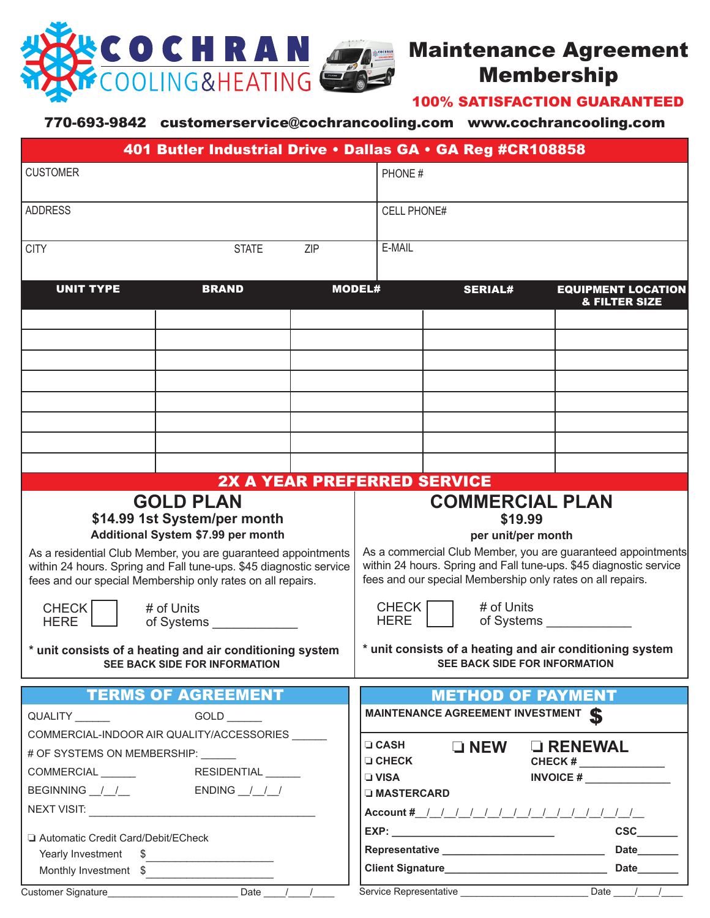

# Maintenance Agreement Membership

100% SATISFACTION GUARANTEED

|                                                                                                                                                                                                                                                                                             | 401 Butler Industrial Drive . Dallas GA . GA Reg #CR108858 |     |                                                                                                                                                                                                                                                             |                                  |                                            |
|---------------------------------------------------------------------------------------------------------------------------------------------------------------------------------------------------------------------------------------------------------------------------------------------|------------------------------------------------------------|-----|-------------------------------------------------------------------------------------------------------------------------------------------------------------------------------------------------------------------------------------------------------------|----------------------------------|--------------------------------------------|
| <b>CUSTOMER</b>                                                                                                                                                                                                                                                                             |                                                            |     | PHONE#                                                                                                                                                                                                                                                      |                                  |                                            |
| <b>ADDRESS</b>                                                                                                                                                                                                                                                                              |                                                            |     | <b>CELL PHONE#</b>                                                                                                                                                                                                                                          |                                  |                                            |
| <b>CITY</b>                                                                                                                                                                                                                                                                                 | <b>STATE</b>                                               | ZIP | E-MAIL                                                                                                                                                                                                                                                      |                                  |                                            |
| <b>UNIT TYPE</b>                                                                                                                                                                                                                                                                            | <b>BRAND</b>                                               |     | <b>MODEL#</b>                                                                                                                                                                                                                                               | <b>SERIAL#</b>                   | <b>EQUIPMENT LOCATION</b><br>& FILTER SIZE |
|                                                                                                                                                                                                                                                                                             |                                                            |     |                                                                                                                                                                                                                                                             |                                  |                                            |
|                                                                                                                                                                                                                                                                                             |                                                            |     |                                                                                                                                                                                                                                                             |                                  |                                            |
|                                                                                                                                                                                                                                                                                             |                                                            |     |                                                                                                                                                                                                                                                             |                                  |                                            |
|                                                                                                                                                                                                                                                                                             |                                                            |     |                                                                                                                                                                                                                                                             |                                  |                                            |
|                                                                                                                                                                                                                                                                                             | 2X A YEAR PREFERRED SERVICE                                |     |                                                                                                                                                                                                                                                             |                                  |                                            |
| <b>GOLD PLAN</b><br>\$14.99 1st System/per month<br>Additional System \$7.99 per month<br>As a residential Club Member, you are guaranteed appointments<br>within 24 hours. Spring and Fall tune-ups. \$45 diagnostic service<br>fees and our special Membership only rates on all repairs. |                                                            |     | <b>COMMERCIAL PLAN</b><br>\$19.99<br>per unit/per month<br>As a commercial Club Member, you are guaranteed appointments<br>within 24 hours. Spring and Fall tune-ups. \$45 diagnostic service<br>fees and our special Membership only rates on all repairs. |                                  |                                            |
| <b>CHECK</b><br># of Units<br><b>HERE</b>                                                                                                                                                                                                                                                   |                                                            |     | # of Units<br><b>CHECK</b><br><b>HERE</b><br>of Systems                                                                                                                                                                                                     |                                  |                                            |
| * unit consists of a heating and air conditioning system<br>SEE BACK SIDE FOR INFORMATION                                                                                                                                                                                                   |                                                            |     | * unit consists of a heating and air conditioning system<br>SEE BACK SIDE FOR INFORMATION                                                                                                                                                                   |                                  |                                            |
|                                                                                                                                                                                                                                                                                             | <b>TERMS OF AGREEMENT</b>                                  |     |                                                                                                                                                                                                                                                             | <b>METHOD OF PAYMENT</b>         |                                            |
|                                                                                                                                                                                                                                                                                             | <b>GOLD</b>                                                |     |                                                                                                                                                                                                                                                             | MAINTENANCE AGREEMENT INVESTMENT |                                            |
|                                                                                                                                                                                                                                                                                             | COMMERCIAL-INDOOR AIR QUALITY/ACCESSORIES _____            |     |                                                                                                                                                                                                                                                             |                                  |                                            |
| # OF SYSTEMS ON MEMBERSHIP: \[ \]                                                                                                                                                                                                                                                           |                                                            |     | $\Box$ CASH                                                                                                                                                                                                                                                 | $\square$ NEW                    | <b>D</b> RENEWAL                           |
|                                                                                                                                                                                                                                                                                             | <b>RESIDENTIAL</b>                                         |     | $\Box$ CHECK<br>$\n  I VISA\n$                                                                                                                                                                                                                              |                                  | CHECK #                                    |
| BEGINNING _/_/_                                                                                                                                                                                                                                                                             | ENDING $\frac{1}{2}$ /                                     |     | <b>INASTERCARD</b>                                                                                                                                                                                                                                          |                                  |                                            |
|                                                                                                                                                                                                                                                                                             |                                                            |     |                                                                                                                                                                                                                                                             |                                  | Account #_/_/_/_/_/_/_/_/_/_/_/_/_/_/_/_/_ |
|                                                                                                                                                                                                                                                                                             |                                                            |     |                                                                                                                                                                                                                                                             |                                  | csc                                        |
| Automatic Credit Card/Debit/ECheck<br>Yearly Investment<br>\$                                                                                                                                                                                                                               |                                                            |     |                                                                                                                                                                                                                                                             |                                  | Date_______                                |
| Monthly Investment \$                                                                                                                                                                                                                                                                       | <u> 1990 - Johann Barbara, martxa a</u>                    |     |                                                                                                                                                                                                                                                             |                                  | Date_______                                |
|                                                                                                                                                                                                                                                                                             | Date $\frac{1}{\sqrt{2}}$                                  |     |                                                                                                                                                                                                                                                             |                                  |                                            |